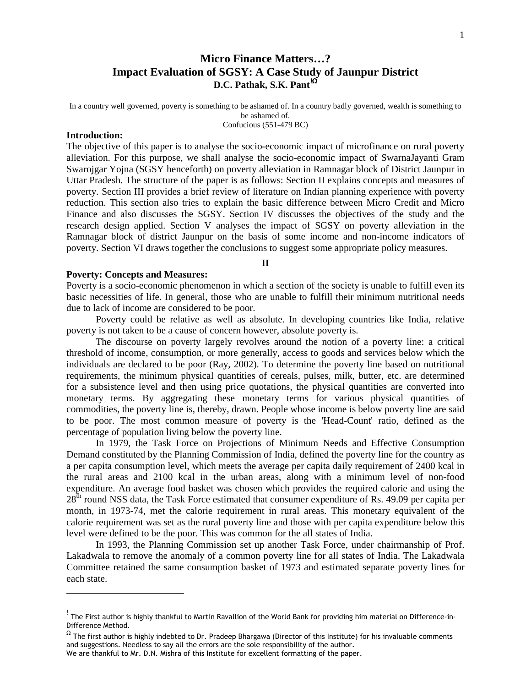# **Micro Finance Matters…? Impact Evaluation of SGSY: A Case Study of Jaunpur District D.C. Pathak, S.K. Pant<sup>!Ω</sup>**

In a country well governed, poverty is something to be ashamed of. In a country badly governed, wealth is something to be ashamed of.

Confucious (551-479 BC)

### **Introduction:**

l

The objective of this paper is to analyse the socio-economic impact of microfinance on rural poverty alleviation. For this purpose, we shall analyse the socio-economic impact of SwarnaJayanti Gram Swarojgar Yojna (SGSY henceforth) on poverty alleviation in Ramnagar block of District Jaunpur in Uttar Pradesh. The structure of the paper is as follows: Section II explains concepts and measures of poverty. Section III provides a brief review of literature on Indian planning experience with poverty reduction. This section also tries to explain the basic difference between Micro Credit and Micro Finance and also discusses the SGSY. Section IV discusses the objectives of the study and the research design applied. Section V analyses the impact of SGSY on poverty alleviation in the Ramnagar block of district Jaunpur on the basis of some income and non-income indicators of poverty. Section VI draws together the conclusions to suggest some appropriate policy measures.

**II** 

#### **Poverty: Concepts and Measures:**

Poverty is a socio-economic phenomenon in which a section of the society is unable to fulfill even its basic necessities of life. In general, those who are unable to fulfill their minimum nutritional needs due to lack of income are considered to be poor.

 Poverty could be relative as well as absolute. In developing countries like India, relative poverty is not taken to be a cause of concern however, absolute poverty is.

 The discourse on poverty largely revolves around the notion of a poverty line: a critical threshold of income, consumption, or more generally, access to goods and services below which the individuals are declared to be poor (Ray, 2002). To determine the poverty line based on nutritional requirements, the minimum physical quantities of cereals, pulses, milk, butter, etc. are determined for a subsistence level and then using price quotations, the physical quantities are converted into monetary terms. By aggregating these monetary terms for various physical quantities of commodities, the poverty line is, thereby, drawn. People whose income is below poverty line are said to be poor. The most common measure of poverty is the 'Head-Count' ratio, defined as the percentage of population living below the poverty line.

 In 1979, the Task Force on Projections of Minimum Needs and Effective Consumption Demand constituted by the Planning Commission of India, defined the poverty line for the country as a per capita consumption level, which meets the average per capita daily requirement of 2400 kcal in the rural areas and 2100 kcal in the urban areas, along with a minimum level of non-food expenditure. An average food basket was chosen which provides the required calorie and using the 28<sup>th</sup> round NSS data, the Task Force estimated that consumer expenditure of Rs. 49.09 per capita per month, in 1973-74, met the calorie requirement in rural areas. This monetary equivalent of the calorie requirement was set as the rural poverty line and those with per capita expenditure below this level were defined to be the poor. This was common for the all states of India.

 In 1993, the Planning Commission set up another Task Force, under chairmanship of Prof. Lakadwala to remove the anomaly of a common poverty line for all states of India. The Lakadwala Committee retained the same consumption basket of 1973 and estimated separate poverty lines for each state.

<sup>&</sup>lt;sup>!</sup> The First author is highly thankful to Martin Ravallion of the World Bank for providing him material on Difference-in-Difference Method.

 $^\Omega$  The first author is highly indebted to Dr. Pradeep Bhargawa (Director of this Institute) for his invaluable comments and suggestions. Needless to say all the errors are the sole responsibility of the author.

We are thankful to Mr. D.N. Mishra of this Institute for excellent formatting of the paper.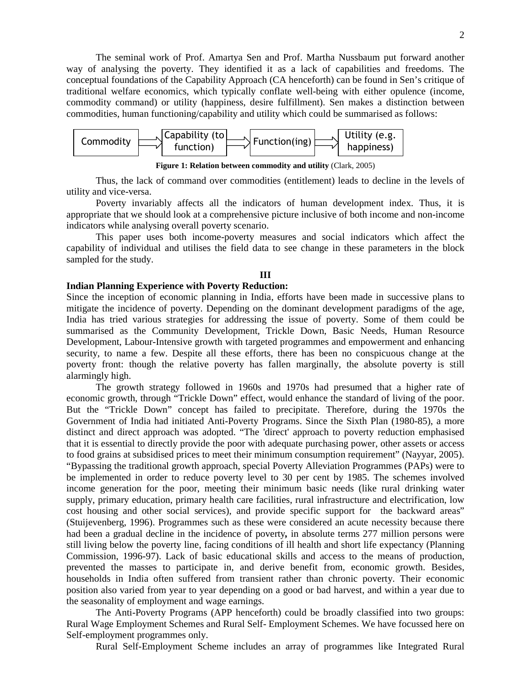The seminal work of Prof. Amartya Sen and Prof. Martha Nussbaum put forward another way of analysing the poverty. They identified it as a lack of capabilities and freedoms. The conceptual foundations of the Capability Approach (CA henceforth) can be found in Sen's critique of traditional welfare economics, which typically conflate well-being with either opulence (income, commodity command) or utility (happiness, desire fulfillment). Sen makes a distinction between commodities, human functioning/capability and utility which could be summarised as follows:



**Figure 1: Relation between commodity and utility** (Clark, 2005)

 Thus, the lack of command over commodities (entitlement) leads to decline in the levels of utility and vice-versa.

 Poverty invariably affects all the indicators of human development index. Thus, it is appropriate that we should look at a comprehensive picture inclusive of both income and non-income indicators while analysing overall poverty scenario.

 This paper uses both income-poverty measures and social indicators which affect the capability of individual and utilises the field data to see change in these parameters in the block sampled for the study.

### **III**

# **Indian Planning Experience with Poverty Reduction:**

Since the inception of economic planning in India, efforts have been made in successive plans to mitigate the incidence of poverty. Depending on the dominant development paradigms of the age, India has tried various strategies for addressing the issue of poverty. Some of them could be summarised as the Community Development, Trickle Down, Basic Needs, Human Resource Development, Labour-Intensive growth with targeted programmes and empowerment and enhancing security, to name a few. Despite all these efforts, there has been no conspicuous change at the poverty front: though the relative poverty has fallen marginally, the absolute poverty is still alarmingly high.

 The growth strategy followed in 1960s and 1970s had presumed that a higher rate of economic growth, through "Trickle Down" effect, would enhance the standard of living of the poor. But the "Trickle Down" concept has failed to precipitate. Therefore, during the 1970s the Government of India had initiated Anti-Poverty Programs. Since the Sixth Plan (1980-85), a more distinct and direct approach was adopted. "The 'direct' approach to poverty reduction emphasised that it is essential to directly provide the poor with adequate purchasing power, other assets or access to food grains at subsidised prices to meet their minimum consumption requirement" (Nayyar, 2005). "Bypassing the traditional growth approach, special Poverty Alleviation Programmes (PAPs) were to be implemented in order to reduce poverty level to 30 per cent by 1985. The schemes involved income generation for the poor, meeting their minimum basic needs (like rural drinking water supply, primary education, primary health care facilities, rural infrastructure and electrification, low cost housing and other social services), and provide specific support for the backward areas" (Stuijevenberg, 1996). Programmes such as these were considered an acute necessity because there had been a gradual decline in the incidence of poverty*,* in absolute terms 277 million persons were still living below the poverty line, facing conditions of ill health and short life expectancy (Planning Commission, 1996-97). Lack of basic educational skills and access to the means of production, prevented the masses to participate in, and derive benefit from, economic growth. Besides, households in India often suffered from transient rather than chronic poverty. Their economic position also varied from year to year depending on a good or bad harvest, and within a year due to the seasonality of employment and wage earnings.

 The Anti-Poverty Programs (APP henceforth) could be broadly classified into two groups: Rural Wage Employment Schemes and Rural Self- Employment Schemes. We have focussed here on Self-employment programmes only.

Rural Self-Employment Scheme includes an array of programmes like Integrated Rural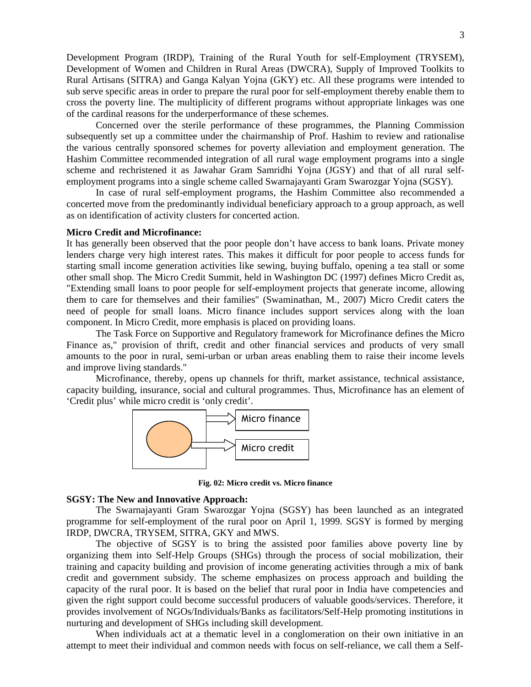Development Program (IRDP), Training of the Rural Youth for self-Employment (TRYSEM), Development of Women and Children in Rural Areas (DWCRA), Supply of Improved Toolkits to Rural Artisans (SITRA) and Ganga Kalyan Yojna (GKY) etc. All these programs were intended to sub serve specific areas in order to prepare the rural poor for self-employment thereby enable them to cross the poverty line. The multiplicity of different programs without appropriate linkages was one of the cardinal reasons for the underperformance of these schemes.

 Concerned over the sterile performance of these programmes, the Planning Commission subsequently set up a committee under the chairmanship of Prof. Hashim to review and rationalise the various centrally sponsored schemes for poverty alleviation and employment generation. The Hashim Committee recommended integration of all rural wage employment programs into a single scheme and rechristened it as Jawahar Gram Samridhi Yojna (JGSY) and that of all rural selfemployment programs into a single scheme called Swarnajayanti Gram Swarozgar Yojna (SGSY).

 In case of rural self-employment programs, the Hashim Committee also recommended a concerted move from the predominantly individual beneficiary approach to a group approach, as well as on identification of activity clusters for concerted action.

### **Micro Credit and Microfinance:**

It has generally been observed that the poor people don't have access to bank loans. Private money lenders charge very high interest rates. This makes it difficult for poor people to access funds for starting small income generation activities like sewing, buying buffalo, opening a tea stall or some other small shop. The Micro Credit Summit, held in Washington DC (1997) defines Micro Credit as, "Extending small loans to poor people for self-employment projects that generate income, allowing them to care for themselves and their families" (Swaminathan, M., 2007) Micro Credit caters the need of people for small loans. Micro finance includes support services along with the loan component. In Micro Credit, more emphasis is placed on providing loans.

The Task Force on Supportive and Regulatory framework for Microfinance defines the Micro Finance as," provision of thrift, credit and other financial services and products of very small amounts to the poor in rural, semi-urban or urban areas enabling them to raise their income levels and improve living standards."

 Microfinance, thereby, opens up channels for thrift, market assistance, technical assistance, capacity building, insurance, social and cultural programmes. Thus, Microfinance has an element of 'Credit plus' while micro credit is 'only credit'.



**Fig. 02: Micro credit vs. Micro finance**

#### **SGSY: The New and Innovative Approach:**

 The Swarnajayanti Gram Swarozgar Yojna (SGSY) has been launched as an integrated programme for self-employment of the rural poor on April 1, 1999. SGSY is formed by merging IRDP, DWCRA, TRYSEM, SITRA, GKY and MWS.

 The objective of SGSY is to bring the assisted poor families above poverty line by organizing them into Self-Help Groups (SHGs) through the process of social mobilization, their training and capacity building and provision of income generating activities through a mix of bank credit and government subsidy. The scheme emphasizes on process approach and building the capacity of the rural poor. It is based on the belief that rural poor in India have competencies and given the right support could become successful producers of valuable goods/services. Therefore, it provides involvement of NGOs/Individuals/Banks as facilitators/Self-Help promoting institutions in nurturing and development of SHGs including skill development.

 When individuals act at a thematic level in a conglomeration on their own initiative in an attempt to meet their individual and common needs with focus on self-reliance, we call them a Self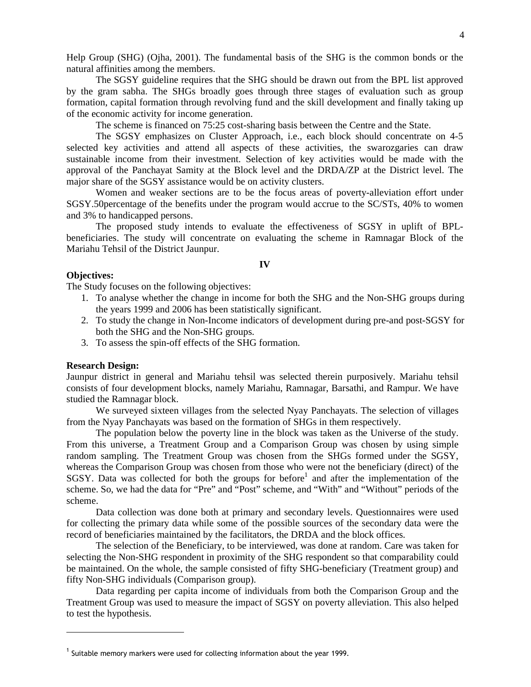Help Group (SHG) (Ojha, 2001). The fundamental basis of the SHG is the common bonds or the natural affinities among the members.

 The SGSY guideline requires that the SHG should be drawn out from the BPL list approved by the gram sabha. The SHGs broadly goes through three stages of evaluation such as group formation, capital formation through revolving fund and the skill development and finally taking up of the economic activity for income generation.

The scheme is financed on 75:25 cost-sharing basis between the Centre and the State.

 The SGSY emphasizes on Cluster Approach, i.e., each block should concentrate on 4-5 selected key activities and attend all aspects of these activities, the swarozgaries can draw sustainable income from their investment. Selection of key activities would be made with the approval of the Panchayat Samity at the Block level and the DRDA/ZP at the District level. The major share of the SGSY assistance would be on activity clusters.

 Women and weaker sections are to be the focus areas of poverty-alleviation effort under SGSY.50percentage of the benefits under the program would accrue to the SC/STs, 40% to women and 3% to handicapped persons.

 The proposed study intends to evaluate the effectiveness of SGSY in uplift of BPLbeneficiaries. The study will concentrate on evaluating the scheme in Ramnagar Block of the Mariahu Tehsil of the District Jaunpur.

#### **IV**

### **Objectives:**

The Study focuses on the following objectives:

- 1. To analyse whether the change in income for both the SHG and the Non-SHG groups during the years 1999 and 2006 has been statistically significant.
- 2. To study the change in Non-Income indicators of development during pre-and post-SGSY for both the SHG and the Non-SHG groups.
- 3. To assess the spin-off effects of the SHG formation.

#### **Research Design:**

l

Jaunpur district in general and Mariahu tehsil was selected therein purposively. Mariahu tehsil consists of four development blocks, namely Mariahu, Ramnagar, Barsathi, and Rampur. We have studied the Ramnagar block.

 We surveyed sixteen villages from the selected Nyay Panchayats. The selection of villages from the Nyay Panchayats was based on the formation of SHGs in them respectively.

 The population below the poverty line in the block was taken as the Universe of the study. From this universe, a Treatment Group and a Comparison Group was chosen by using simple random sampling. The Treatment Group was chosen from the SHGs formed under the SGSY, whereas the Comparison Group was chosen from those who were not the beneficiary (direct) of the SGSY. Data was collected for both the groups for before<sup>1</sup> and after the implementation of the scheme. So, we had the data for "Pre" and "Post" scheme, and "With" and "Without" periods of the scheme.

 Data collection was done both at primary and secondary levels. Questionnaires were used for collecting the primary data while some of the possible sources of the secondary data were the record of beneficiaries maintained by the facilitators, the DRDA and the block offices.

The selection of the Beneficiary, to be interviewed, was done at random. Care was taken for selecting the Non-SHG respondent in proximity of the SHG respondent so that comparability could be maintained. On the whole, the sample consisted of fifty SHG-beneficiary (Treatment group) and fifty Non-SHG individuals (Comparison group).

 Data regarding per capita income of individuals from both the Comparison Group and the Treatment Group was used to measure the impact of SGSY on poverty alleviation. This also helped to test the hypothesis.

 $<sup>1</sup>$  Suitable memory markers were used for collecting information about the year 1999.</sup>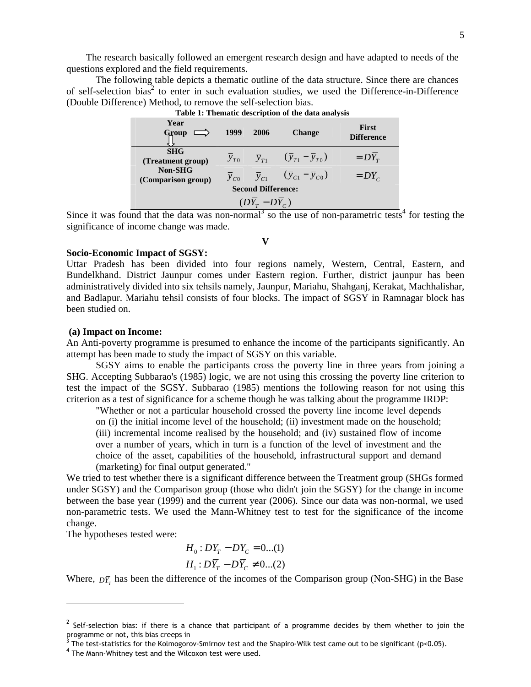The research basically followed an emergent research design and have adapted to needs of the questions explored and the field requirements.

 The following table depicts a thematic outline of the data structure. Since there are chances of self-selection bias<sup>2</sup> to enter in such evaluation studies, we used the Difference-in-Difference (Double Difference) Method, to remove the self-selection bias.

| Year<br>Group                         | 1999     | 2006                | <b>Change</b>                                                 | <b>First</b><br><b>Difference</b> |  |
|---------------------------------------|----------|---------------------|---------------------------------------------------------------|-----------------------------------|--|
| <b>SHG</b><br>(Treatment group)       | $y_{T0}$ |                     | $\overline{y}_{T1}$ $(\overline{y}_{T1} - \overline{y}_{T0})$ | $= DY_{T}$                        |  |
| <b>Non-SHG</b><br>(Comparison group)  | $y_{C0}$ | $\overline{y}_{C1}$ | $(\overline{y}_{C1} - \overline{y}_{C0})$                     | $= D\overline{Y}_C$               |  |
| <b>Second Difference:</b>             |          |                     |                                                               |                                   |  |
| $(D\overline{Y}_r - D\overline{Y}_c)$ |          |                     |                                                               |                                   |  |

**Table 1: Thematic description of the data analysis** 

Since it was found that the data was non-normal<sup>3</sup> so the use of non-parametric tests<sup>4</sup> for testing the significance of income change was made.

### **Socio-Economic Impact of SGSY:**

Uttar Pradesh has been divided into four regions namely, Western, Central, Eastern, and Bundelkhand. District Jaunpur comes under Eastern region. Further, district jaunpur has been administratively divided into six tehsils namely, Jaunpur, Mariahu, Shahganj, Kerakat, Machhalishar, and Badlapur. Mariahu tehsil consists of four blocks. The impact of SGSY in Ramnagar block has been studied on.

### **(a) Impact on Income:**

An Anti-poverty programme is presumed to enhance the income of the participants significantly. An attempt has been made to study the impact of SGSY on this variable.

 SGSY aims to enable the participants cross the poverty line in three years from joining a SHG. Accepting Subbarao's (1985) logic, we are not using this crossing the poverty line criterion to test the impact of the SGSY. Subbarao (1985) mentions the following reason for not using this criterion as a test of significance for a scheme though he was talking about the programme IRDP:

"Whether or not a particular household crossed the poverty line income level depends on (i) the initial income level of the household; (ii) investment made on the household; (iii) incremental income realised by the household; and (iv) sustained flow of income over a number of years, which in turn is a function of the level of investment and the choice of the asset, capabilities of the household, infrastructural support and demand (marketing) for final output generated."

We tried to test whether there is a significant difference between the Treatment group (SHGs formed under SGSY) and the Comparison group (those who didn't join the SGSY) for the change in income between the base year (1999) and the current year (2006). Since our data was non-normal, we used non-parametric tests. We used the Mann-Whitney test to test for the significance of the income change.

The hypotheses tested were:

 $\overline{a}$ 

$$
H_0: D\overline{Y}_T - D\overline{Y}_C = 0...(1)
$$
  

$$
H_1: D\overline{Y}_T - D\overline{Y}_C \neq 0...(2)
$$

Where,  $\overline{D}_{T_T}$  has been the difference of the incomes of the Comparison group (Non-SHG) in the Base

**V** 

 $^2$  Self-selection bias: if there is a chance that participant of a programme decides by them whether to join the programme or not, this bias creeps in

 $^3$  The test-statistics for the Kolmogorov-Smirnov test and the Shapiro-Wilk test came out to be significant (p<0.05).

<sup>&</sup>lt;sup>4</sup> The Mann-Whitney test and the Wilcoxon test were used.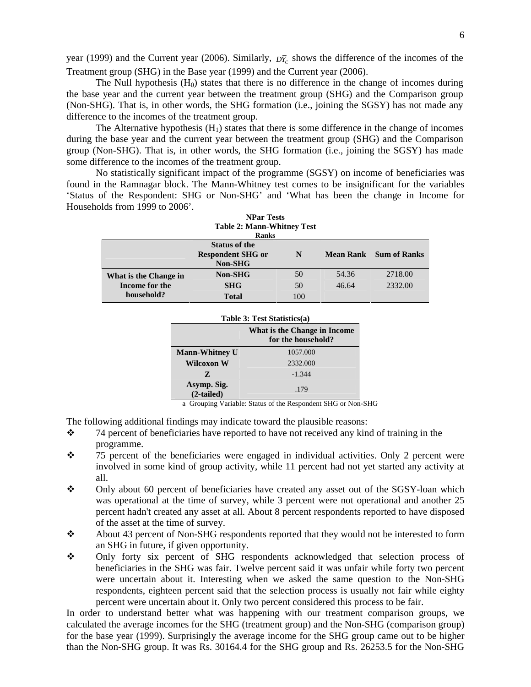year (1999) and the Current year (2006). Similarly,  $\bar{D}_{C}^{\bar{C}}$  shows the difference of the incomes of the Treatment group (SHG) in the Base year (1999) and the Current year (2006).

The Null hypothesis  $(H_0)$  states that there is no difference in the change of incomes during the base year and the current year between the treatment group (SHG) and the Comparison group (Non-SHG). That is, in other words, the SHG formation (i.e., joining the SGSY) has not made any difference to the incomes of the treatment group.

The Alternative hypothesis  $(H_1)$  states that there is some difference in the change of incomes during the base year and the current year between the treatment group (SHG) and the Comparison group (Non-SHG). That is, in other words, the SHG formation (i.e., joining the SGSY) has made some difference to the incomes of the treatment group.

 No statistically significant impact of the programme (SGSY) on income of beneficiaries was found in the Ramnagar block. The Mann-Whitney test comes to be insignificant for the variables 'Status of the Respondent: SHG or Non-SHG' and 'What has been the change in Income for Households from 1999 to 2006'. **NPar Tests** 

| <b>Table 2: Mann-Whitney Test</b><br><b>Ranks</b>                                                        |                |     |       |         |  |  |
|----------------------------------------------------------------------------------------------------------|----------------|-----|-------|---------|--|--|
| <b>Status of the</b><br><b>Respondent SHG or</b><br><b>Mean Rank</b> Sum of Ranks<br>N<br><b>Non-SHG</b> |                |     |       |         |  |  |
| What is the Change in                                                                                    | <b>Non-SHG</b> | 50  | 54.36 | 2718.00 |  |  |
| Income for the                                                                                           | <b>SHG</b>     | 50  | 46.64 | 2332.00 |  |  |
| household?                                                                                               | <b>Total</b>   | 100 |       |         |  |  |

| Table 3: Test Statistics(a)                                                 |  |  |  |  |
|-----------------------------------------------------------------------------|--|--|--|--|
| What is the Change in Income<br>for the household?<br><b>Mann-Whitney U</b> |  |  |  |  |
| 1057.000                                                                    |  |  |  |  |
| 2332.000                                                                    |  |  |  |  |
| $-1.344$                                                                    |  |  |  |  |
| .179                                                                        |  |  |  |  |
|                                                                             |  |  |  |  |

a Grouping Variable: Status of the Respondent SHG or Non-SHG

The following additional findings may indicate toward the plausible reasons:

- $\div$  74 percent of beneficiaries have reported to have not received any kind of training in the programme.
- \* 75 percent of the beneficiaries were engaged in individual activities. Only 2 percent were involved in some kind of group activity, while 11 percent had not yet started any activity at all.
- $\div$  Only about 60 percent of beneficiaries have created any asset out of the SGSY-loan which was operational at the time of survey, while 3 percent were not operational and another 25 percent hadn't created any asset at all. About 8 percent respondents reported to have disposed of the asset at the time of survey.
- \* About 43 percent of Non-SHG respondents reported that they would not be interested to form an SHG in future, if given opportunity.
- Only forty six percent of SHG respondents acknowledged that selection process of beneficiaries in the SHG was fair. Twelve percent said it was unfair while forty two percent were uncertain about it. Interesting when we asked the same question to the Non-SHG respondents, eighteen percent said that the selection process is usually not fair while eighty percent were uncertain about it. Only two percent considered this process to be fair.

In order to understand better what was happening with our treatment comparison groups, we calculated the average incomes for the SHG (treatment group) and the Non-SHG (comparison group) for the base year (1999). Surprisingly the average income for the SHG group came out to be higher than the Non-SHG group. It was Rs. 30164.4 for the SHG group and Rs. 26253.5 for the Non-SHG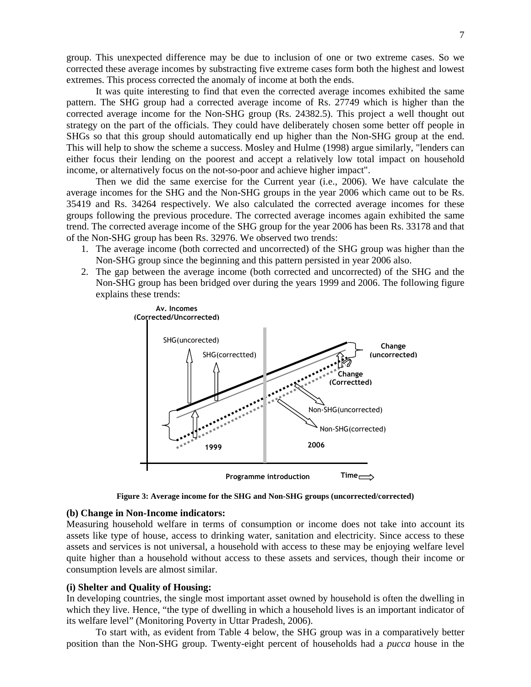group. This unexpected difference may be due to inclusion of one or two extreme cases. So we corrected these average incomes by substracting five extreme cases form both the highest and lowest extremes. This process corrected the anomaly of income at both the ends.

 It was quite interesting to find that even the corrected average incomes exhibited the same pattern. The SHG group had a corrected average income of Rs. 27749 which is higher than the corrected average income for the Non-SHG group (Rs. 24382.5). This project a well thought out strategy on the part of the officials. They could have deliberately chosen some better off people in SHGs so that this group should automatically end up higher than the Non-SHG group at the end. This will help to show the scheme a success. Mosley and Hulme (1998) argue similarly, "lenders can either focus their lending on the poorest and accept a relatively low total impact on household income, or alternatively focus on the not-so-poor and achieve higher impact".

 Then we did the same exercise for the Current year (i.e., 2006). We have calculate the average incomes for the SHG and the Non-SHG groups in the year 2006 which came out to be Rs. 35419 and Rs. 34264 respectively. We also calculated the corrected average incomes for these groups following the previous procedure. The corrected average incomes again exhibited the same trend. The corrected average income of the SHG group for the year 2006 has been Rs. 33178 and that of the Non-SHG group has been Rs. 32976. We observed two trends:

- 1. The average income (both corrected and uncorrected) of the SHG group was higher than the Non-SHG group since the beginning and this pattern persisted in year 2006 also.
- 2. The gap between the average income (both corrected and uncorrected) of the SHG and the Non-SHG group has been bridged over during the years 1999 and 2006. The following figure explains these trends:



**Figure 3: Average income for the SHG and Non-SHG groups (uncorrected/corrected)** 

### **(b) Change in Non-Income indicators:**

Measuring household welfare in terms of consumption or income does not take into account its assets like type of house, access to drinking water, sanitation and electricity. Since access to these assets and services is not universal, a household with access to these may be enjoying welfare level quite higher than a household without access to these assets and services, though their income or consumption levels are almost similar.

### **(i) Shelter and Quality of Housing:**

In developing countries, the single most important asset owned by household is often the dwelling in which they live. Hence, "the type of dwelling in which a household lives is an important indicator of its welfare level" (Monitoring Poverty in Uttar Pradesh, 2006).

To start with, as evident from Table 4 below, the SHG group was in a comparatively better position than the Non-SHG group. Twenty-eight percent of households had a *pucca* house in the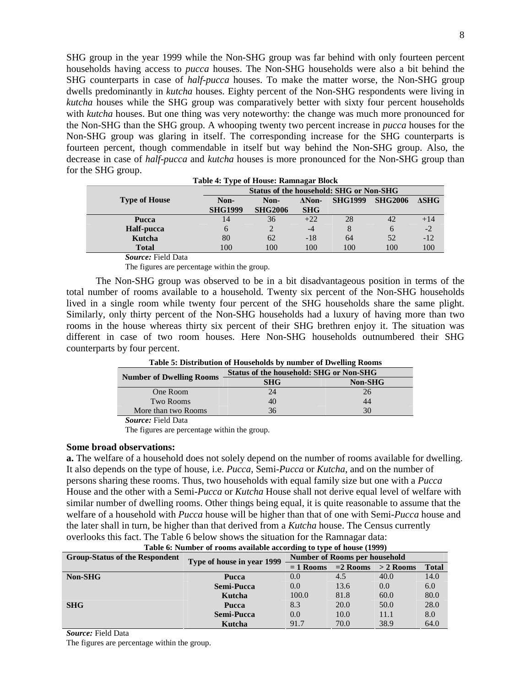SHG group in the year 1999 while the Non-SHG group was far behind with only fourteen percent households having access to *pucca* houses. The Non-SHG households were also a bit behind the SHG counterparts in case of *half-pucca* houses. To make the matter worse, the Non-SHG group dwells predominantly in *kutcha* houses. Eighty percent of the Non-SHG respondents were living in *kutcha* houses while the SHG group was comparatively better with sixty four percent households with *kutcha* houses. But one thing was very noteworthy: the change was much more pronounced for the Non-SHG than the SHG group. A whooping twenty two percent increase in *pucca* houses for the Non-SHG group was glaring in itself. The corresponding increase for the SHG counterparts is fourteen percent, though commendable in itself but way behind the Non-SHG group. Also, the decrease in case of *half-pucca* and *kutcha* houses is more pronounced for the Non-SHG group than for the SHG group.

| Tuble 1, I The of House, Rummugui Dioch |                                         |                |               |                |                |              |  |
|-----------------------------------------|-----------------------------------------|----------------|---------------|----------------|----------------|--------------|--|
|                                         | Status of the household: SHG or Non-SHG |                |               |                |                |              |  |
| <b>Type of House</b>                    | Non-                                    | Non-           | $\Delta$ Non- | <b>SHG1999</b> | <b>SHG2006</b> | $\Delta SHG$ |  |
|                                         | <b>SHG1999</b>                          | <b>SHG2006</b> | <b>SHG</b>    |                |                |              |  |
| Pucca                                   | 14                                      | 36             | $+22$         | 28             | 42             | $+14$        |  |
| Half-pucca                              |                                         |                | $-4$          |                | 6              | $-2$         |  |
| Kutcha                                  | 80                                      | 62             | $-18$         | 64             | 52             | $-12$        |  |
| <b>Total</b>                            | 100                                     | 100            | 100           | 100            | 100            | 100          |  |

**Table 4: Type of House: Ramnagar Block**

 *Source:* Field Data

The figures are percentage within the group.

The Non-SHG group was observed to be in a bit disadvantageous position in terms of the total number of rooms available to a household. Twenty six percent of the Non-SHG households lived in a single room while twenty four percent of the SHG households share the same plight. Similarly, only thirty percent of the Non-SHG households had a luxury of having more than two rooms in the house whereas thirty six percent of their SHG brethren enjoy it. The situation was different in case of two room houses. Here Non-SHG households outnumbered their SHG counterparts by four percent.

| <b>Number of Dwelling Rooms</b> | Status of the household: SHG or Non-SHG |                |  |  |  |
|---------------------------------|-----------------------------------------|----------------|--|--|--|
|                                 | <b>SHG</b>                              | <b>Non-SHG</b> |  |  |  |
| One Room                        | 24                                      | 26             |  |  |  |
| Two Rooms                       | 40                                      | 44             |  |  |  |
| More than two Rooms             | 36                                      | 30             |  |  |  |
| $Soumax$ Eight Data             |                                         |                |  |  |  |

**Table 5: Distribution of Households by number of Dwelling Rooms** 

 *Source:* Field Data

The figures are percentage within the group.

### **Some broad observations:**

**a.** The welfare of a household does not solely depend on the number of rooms available for dwelling. It also depends on the type of house, i.e. *Pucca*, Semi-*Pucca* or *Kutcha*, and on the number of persons sharing these rooms. Thus, two households with equal family size but one with a *Pucca* House and the other with a Semi-*Pucca* or *Kutcha* House shall not derive equal level of welfare with similar number of dwelling rooms. Other things being equal, it is quite reasonable to assume that the welfare of a household with *Pucca* house will be higher than that of one with Semi-*Pucca* house and the later shall in turn, be higher than that derived from a *Kutcha* house. The Census currently overlooks this fact. The Table 6 below shows the situation for the Ramnagar data:

| Table 6: Number of rooms available according to type of house (1999) |                            |                               |            |             |              |  |
|----------------------------------------------------------------------|----------------------------|-------------------------------|------------|-------------|--------------|--|
| <b>Group-Status of the Respondent</b>                                |                            | Number of Rooms per household |            |             |              |  |
|                                                                      | Type of house in year 1999 | $= 1$ Rooms                   | $=2$ Rooms | $> 2$ Rooms | <b>Total</b> |  |
| <b>Non-SHG</b>                                                       | Pucca                      | 0.0                           | 4.5        | 40.0        | 14.0         |  |
|                                                                      | <b>Semi-Pucca</b>          | 0.0                           | 13.6       | 0.0         | 6.0          |  |
|                                                                      | Kutcha                     | 100.0                         | 81.8       | 60.0        | 80.0         |  |
| <b>SHG</b>                                                           | Pucca                      | 8.3                           | 20.0       | 50.0        | 28.0         |  |
|                                                                      | <b>Semi-Pucca</b>          | 0.0                           | 10.0       | 11.1        | 8.0          |  |
|                                                                      | Kutcha                     | 91.7                          | 70.0       | 38.9        | 64.0         |  |

| Table 6: Number of rooms available according to type of house (1999) |  |  |  |
|----------------------------------------------------------------------|--|--|--|

*Source:* Field Data

The figures are percentage within the group.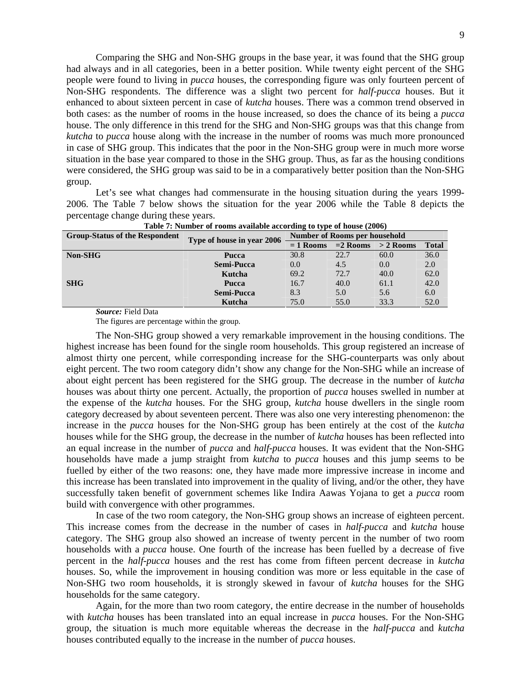Comparing the SHG and Non-SHG groups in the base year, it was found that the SHG group had always and in all categories, been in a better position. While twenty eight percent of the SHG people were found to living in *pucca* houses, the corresponding figure was only fourteen percent of Non-SHG respondents. The difference was a slight two percent for *half-pucca* houses. But it enhanced to about sixteen percent in case of *kutcha* houses. There was a common trend observed in both cases: as the number of rooms in the house increased, so does the chance of its being a *pucca* house. The only difference in this trend for the SHG and Non-SHG groups was that this change from *kutcha* to *pucca* house along with the increase in the number of rooms was much more pronounced in case of SHG group. This indicates that the poor in the Non-SHG group were in much more worse situation in the base year compared to those in the SHG group. Thus, as far as the housing conditions were considered, the SHG group was said to be in a comparatively better position than the Non-SHG group.

 Let's see what changes had commensurate in the housing situation during the years 1999- 2006. The Table 7 below shows the situation for the year 2006 while the Table 8 depicts the percentage change during these years.

| <b>Group-Status of the Respondent</b> | Type of house in year 2006 | Number of Rooms per household |            |             |              |
|---------------------------------------|----------------------------|-------------------------------|------------|-------------|--------------|
|                                       |                            | $= 1$ Rooms                   | $=2$ Rooms | $>$ 2 Rooms | <b>Total</b> |
| Non-SHG                               | Pucca                      | 30.8                          | 22.7       | 60.0        | 36.0         |
|                                       | <b>Semi-Pucca</b>          | 0.0                           | 4.5        | 0.0         | 2.0          |
|                                       | Kutcha                     | 69.2                          | 72.7       | 40.0        | 62.0         |
| <b>SHG</b>                            | Pucca                      | 16.7                          | 40.0       | 61.1        | 42.0         |
|                                       | <b>Semi-Pucca</b>          | 8.3                           | 5.0        | 5.6         | 6.0          |
|                                       | Kutcha                     | 75.0                          | 55.0       | 33.3        | 52.0         |

**Table 7: Number of rooms available according to type of house (2006)** 

 *Source:* Field Data

The figures are percentage within the group.

 The Non-SHG group showed a very remarkable improvement in the housing conditions. The highest increase has been found for the single room households. This group registered an increase of almost thirty one percent, while corresponding increase for the SHG-counterparts was only about eight percent. The two room category didn't show any change for the Non-SHG while an increase of about eight percent has been registered for the SHG group. The decrease in the number of *kutcha* houses was about thirty one percent. Actually, the proportion of *pucca* houses swelled in number at the expense of the *kutcha* houses. For the SHG group, *kutcha* house dwellers in the single room category decreased by about seventeen percent. There was also one very interesting phenomenon: the increase in the *pucca* houses for the Non-SHG group has been entirely at the cost of the *kutcha* houses while for the SHG group, the decrease in the number of *kutcha* houses has been reflected into an equal increase in the number of *pucca* and *half-pucca* houses. It was evident that the Non-SHG households have made a jump straight from *kutcha* to *pucca* houses and this jump seems to be fuelled by either of the two reasons: one, they have made more impressive increase in income and this increase has been translated into improvement in the quality of living, and/or the other, they have successfully taken benefit of government schemes like Indira Aawas Yojana to get a *pucca* room build with convergence with other programmes.

 In case of the two room category, the Non-SHG group shows an increase of eighteen percent. This increase comes from the decrease in the number of cases in *half-pucca* and *kutcha* house category. The SHG group also showed an increase of twenty percent in the number of two room households with a *pucca* house. One fourth of the increase has been fuelled by a decrease of five percent in the *half-pucca* houses and the rest has come from fifteen percent decrease in *kutcha* houses. So, while the improvement in housing condition was more or less equitable in the case of Non-SHG two room households, it is strongly skewed in favour of *kutcha* houses for the SHG households for the same category.

 Again, for the more than two room category, the entire decrease in the number of households with *kutcha* houses has been translated into an equal increase in *pucca* houses. For the Non-SHG group, the situation is much more equitable whereas the decrease in the *half-pucca* and *kutcha* houses contributed equally to the increase in the number of *pucca* houses.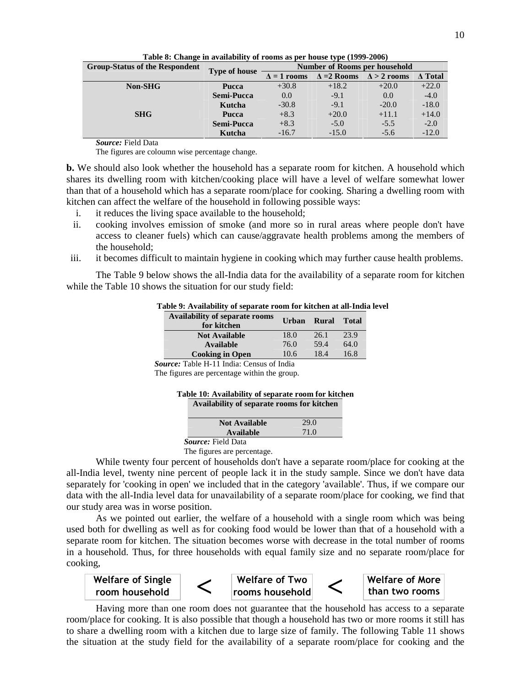| <b>Group-Status of the Respondent</b> |                      |                    |                    | Number of Rooms per household |                |
|---------------------------------------|----------------------|--------------------|--------------------|-------------------------------|----------------|
|                                       | <b>Type of house</b> | $\Delta = 1$ rooms | $\Delta = 2$ Rooms | $\Delta > 2$ rooms            | $\Delta$ Total |
| <b>Non-SHG</b>                        | <b>Pucca</b>         | $+30.8$            | $+18.2$            | $+20.0$                       | $+22.0$        |
|                                       | Semi-Pucca           | 0.0                | $-9.1$             | 0.0                           | $-4.0$         |
|                                       | Kutcha               | $-30.8$            | $-9.1$             | $-20.0$                       | $-18.0$        |
| <b>SHG</b>                            | Pucca                | $+8.3$             | $+20.0$            | $+11.1$                       | $+14.0$        |
|                                       | Semi-Pucca           | $+8.3$             | $-5.0$             | $-5.5$                        | $-2.0$         |
|                                       | Kutcha               | $-16.7$            | $-15.0$            | $-5.6$                        | $-12.0$        |

**Table 8: Change in availability of rooms as per house type (1999-2006)** 

 *Source:* Field Data

The figures are coloumn wise percentage change.

**b.** We should also look whether the household has a separate room for kitchen. A household which shares its dwelling room with kitchen/cooking place will have a level of welfare somewhat lower than that of a household which has a separate room/place for cooking. Sharing a dwelling room with kitchen can affect the welfare of the household in following possible ways:

- i. it reduces the living space available to the household;
- ii. cooking involves emission of smoke (and more so in rural areas where people don't have access to cleaner fuels) which can cause/aggravate health problems among the members of the household;
- iii. it becomes difficult to maintain hygiene in cooking which may further cause health problems.

 The Table 9 below shows the all-India data for the availability of a separate room for kitchen while the Table 10 shows the situation for our study field:

| Table 9: Availability of separate room for kitchen at all-India level |  |  |  |
|-----------------------------------------------------------------------|--|--|--|
|-----------------------------------------------------------------------|--|--|--|

| <b>Availability of separate rooms</b><br>for kitchen | Urban | Rural | <b>Total</b> |
|------------------------------------------------------|-------|-------|--------------|
| <b>Not Available</b>                                 | 18.0  | 26.1  | 23.9         |
| <b>Available</b>                                     | 76.0  | 59.4  | 64.0         |
| <b>Cooking in Open</b>                               | 10.6  | 18.4  | 16.8         |
|                                                      |       |       |              |

 *Source:* Table H-11 India: Census of India

The figures are percentage within the group.

| Table 10: Availability of separate room for kitchen |  |
|-----------------------------------------------------|--|
| Availability of separate rooms for kitchen          |  |

| <b>Not Available</b>      | 29.0 |
|---------------------------|------|
| Available                 | 71.0 |
| <i>Source:</i> Field Data |      |

The figures are percentage.

While twenty four percent of households don't have a separate room/place for cooking at the all-India level, twenty nine percent of people lack it in the study sample. Since we don't have data separately for 'cooking in open' we included that in the category 'available'. Thus, if we compare our data with the all-India level data for unavailability of a separate room/place for cooking, we find that our study area was in worse position.

 As we pointed out earlier, the welfare of a household with a single room which was being used both for dwelling as well as for cooking food would be lower than that of a household with a separate room for kitchen. The situation becomes worse with decrease in the total number of rooms in a household. Thus, for three households with equal family size and no separate room/place for cooking,



Having more than one room does not guarantee that the household has access to a separate room/place for cooking. It is also possible that though a household has two or more rooms it still has to share a dwelling room with a kitchen due to large size of family. The following Table 11 shows the situation at the study field for the availability of a separate room/place for cooking and the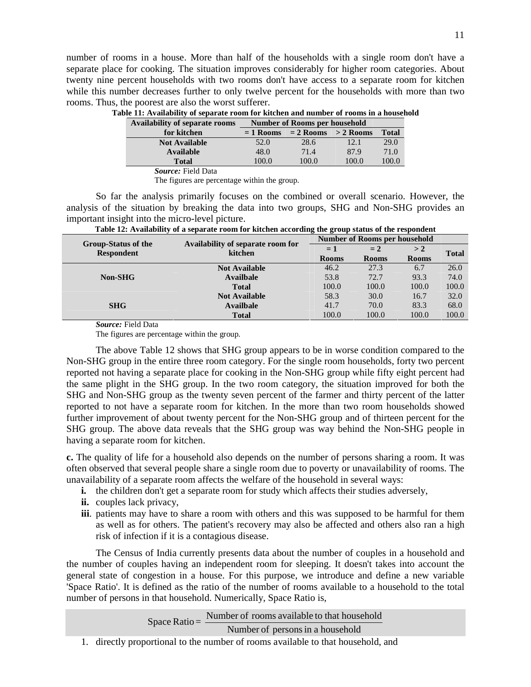number of rooms in a house. More than half of the households with a single room don't have a separate place for cooking. The situation improves considerably for higher room categories. About twenty nine percent households with two rooms don't have access to a separate room for kitchen while this number decreases further to only twelve percent for the households with more than two rooms. Thus, the poorest are also the worst sufferer.

| Table 11: Availability of separate room for kitchen and number of rooms in a household |                               |  |  |
|----------------------------------------------------------------------------------------|-------------------------------|--|--|
| Availability of separate rooms                                                         | Number of Rooms per household |  |  |
|                                                                                        |                               |  |  |

| <i><b>IVANADHILY OF Separate Pooling</b></i> | <b>THERMOLE OF INSOLUT PUT HOUSEHORN</b> |       |                       |              |  |
|----------------------------------------------|------------------------------------------|-------|-----------------------|--------------|--|
| for kitchen                                  | $= 1$ Rooms                              |       | $= 2$ Rooms > 2 Rooms | <b>Total</b> |  |
| <b>Not Available</b>                         | 52.0                                     | 28.6  | 12.1                  | 29.0         |  |
| Available                                    | 48.0                                     | 71.4  | 87.9                  | 71.0         |  |
| <b>Total</b>                                 | 100.0                                    | 100.0 | 100.0                 | 100.0        |  |
| $\sim$                                       |                                          |       |                       |              |  |

*Source:* Field Data

The figures are percentage within the group.

 So far the analysis primarily focuses on the combined or overall scenario. However, the analysis of the situation by breaking the data into two groups, SHG and Non-SHG provides an important insight into the micro-level picture.

| <b>Group-Status of the</b> | Availability of separate room for | Number of Rooms per household |              |              |              |
|----------------------------|-----------------------------------|-------------------------------|--------------|--------------|--------------|
| <b>Respondent</b>          | kitchen                           | $= 1$                         | $= 2$        | >2           | <b>Total</b> |
|                            |                                   | <b>Rooms</b>                  | <b>Rooms</b> | <b>Rooms</b> |              |
|                            | <b>Not Available</b>              | 46.2                          | 27.3         | 6.7          | 26.0         |
| <b>Non-SHG</b>             | <b>Availbale</b>                  | 53.8                          | 72.7         | 93.3         | 74.0         |
|                            | <b>Total</b>                      | 100.0                         | 100.0        | 100.0        | 100.0        |
|                            | <b>Not Available</b>              | 58.3                          | 30.0         | 16.7         | 32.0         |
| <b>SHG</b>                 | <b>Availbale</b>                  | 41.7                          | 70.0         | 83.3         | 68.0         |
|                            | <b>Total</b>                      | 100.0                         | 100.0        | 100.0        | 100.0        |

| Table 12: Availability of a separate room for kitchen according the group status of the respondent |  |  |  |  |
|----------------------------------------------------------------------------------------------------|--|--|--|--|
|                                                                                                    |  |  |  |  |

 *Source:* Field Data

The figures are percentage within the group.

The above Table 12 shows that SHG group appears to be in worse condition compared to the Non-SHG group in the entire three room category. For the single room households, forty two percent reported not having a separate place for cooking in the Non-SHG group while fifty eight percent had the same plight in the SHG group. In the two room category, the situation improved for both the SHG and Non-SHG group as the twenty seven percent of the farmer and thirty percent of the latter reported to not have a separate room for kitchen. In the more than two room households showed further improvement of about twenty percent for the Non-SHG group and of thirteen percent for the SHG group. The above data reveals that the SHG group was way behind the Non-SHG people in having a separate room for kitchen.

**c.** The quality of life for a household also depends on the number of persons sharing a room. It was often observed that several people share a single room due to poverty or unavailability of rooms. The unavailability of a separate room affects the welfare of the household in several ways:

- **i.** the children don't get a separate room for study which affects their studies adversely,
- **ii.** couples lack privacy,
- **iii**. patients may have to share a room with others and this was supposed to be harmful for them as well as for others. The patient's recovery may also be affected and others also ran a high risk of infection if it is a contagious disease.

The Census of India currently presents data about the number of couples in a household and the number of couples having an independent room for sleeping. It doesn't takes into account the general state of congestion in a house. For this purpose, we introduce and define a new variable 'Space Ratio'. It is defined as the ratio of the number of rooms available to a household to the total number of persons in that household. Numerically, Space Ratio is,

Space Ratio =  $\frac{\text{Number of rooms available to that household}}{\text{Number of months}}$ 

Number of persons in a household

1. directly proportional to the number of rooms available to that household, and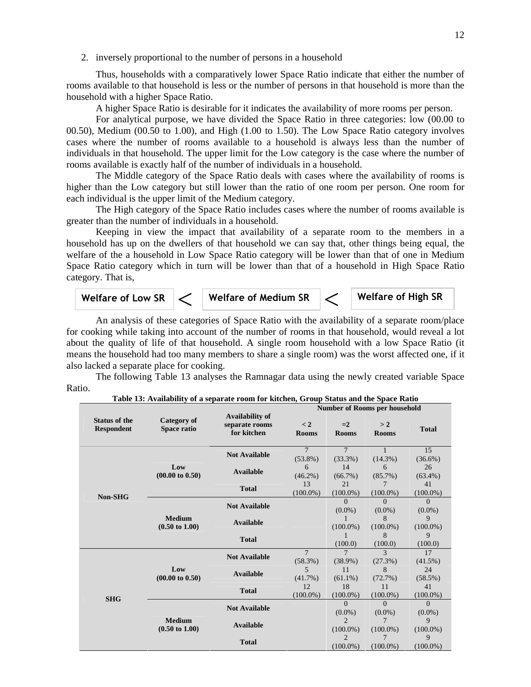2. inversely proportional to the number of persons in a household

 Thus, households with a comparatively lower Space Ratio indicate that either the number of rooms available to that household is less or the number of persons in that household is more than the household with a higher Space Ratio.

A higher Space Ratio is desirable for it indicates the availability of more rooms per person.

 For analytical purpose, we have divided the Space Ratio in three categories: low (00.00 to 00.50), Medium (00.50 to 1.00), and High (1.00 to 1.50). The Low Space Ratio category involves cases where the number of rooms available to a household is always less than the number of individuals in that household. The upper limit for the Low category is the case where the number of rooms available is exactly half of the number of individuals in a household.

 The Middle category of the Space Ratio deals with cases where the availability of rooms is higher than the Low category but still lower than the ratio of one room per person. One room for each individual is the upper limit of the Medium category.

 The High category of the Space Ratio includes cases where the number of rooms available is greater than the number of individuals in a household.

 Keeping in view the impact that availability of a separate room to the members in a household has up on the dwellers of that household we can say that, other things being equal, the welfare of the a household in Low Space Ratio category will be lower than that of one in Medium Space Ratio category which in turn will be lower than that of a household in High Space Ratio category. That is,



An analysis of these categories of Space Ratio with the availability of a separate room/place for cooking while taking into account of the number of rooms in that household, would reveal a lot about the quality of life of that household. A single room household with a low Space Ratio (it means the household had too many members to share a single room) was the worst affected one, if it also lacked a separate place for cooking.

 The following Table 13 analyses the Ramnagar data using the newly created variable Space Ratio.

|                                           |                                            |                                                  |                              | <b>Number of Rooms per household</b>       |                                     |                       |  |
|-------------------------------------------|--------------------------------------------|--------------------------------------------------|------------------------------|--------------------------------------------|-------------------------------------|-----------------------|--|
| <b>Status of the</b><br><b>Respondent</b> | <b>Category of</b><br>Space ratio          | Availability of<br>separate rooms<br>for kitchen | $\lt 2$<br><b>Rooms</b>      | $=2$<br><b>Rooms</b>                       | > 2<br><b>Rooms</b>                 | <b>Total</b>          |  |
|                                           |                                            | <b>Not Available</b>                             | $\overline{7}$<br>$(53.8\%)$ | $\overline{7}$<br>$(33.3\%)$               | $(14.3\%)$                          | 15<br>$(36.6\%)$      |  |
|                                           | Low<br>$(00.00 \text{ to } 0.50)$          | <b>Available</b>                                 | 6<br>$(46.2\%)$              | 14<br>$(66.7\%)$                           | 6<br>$(85.7\%)$                     | 26<br>$(63.4\%)$      |  |
| Non-SHG                                   |                                            | <b>Total</b>                                     | 13<br>$(100.0\%)$            | 21<br>$(100.0\%)$                          | 7<br>$(100.0\%)$                    | 41<br>$(100.0\%)$     |  |
|                                           |                                            | <b>Not Available</b>                             |                              | $\Omega$<br>$(0.0\%)$                      | $\Omega$<br>$(0.0\%)$               | $\Omega$<br>$(0.0\%)$ |  |
|                                           | <b>Medium</b><br>$(0.50 \text{ to } 1.00)$ | <b>Available</b>                                 |                              | 1<br>$(100.0\%)$                           | 8<br>$(100.0\%)$                    | 9<br>$(100.0\%)$      |  |
|                                           |                                            | <b>Total</b>                                     |                              | 1<br>(100.0)                               | 8<br>(100.0)                        | 9<br>(100.0)          |  |
|                                           |                                            | <b>Not Available</b>                             | $\overline{7}$<br>$(58.3\%)$ | $\overline{7}$<br>$(38.9\%)$               | $\overline{\mathcal{E}}$<br>(27.3%) | 17<br>$(41.5\%)$      |  |
|                                           | Low<br>$(00.00 \text{ to } 0.50)$          | <b>Available</b>                                 | 5<br>$(41.7\%)$              | 11<br>$(61.1\%)$                           | 8<br>(72.7%)                        | 24<br>(58.5%)         |  |
| <b>SHG</b>                                |                                            | <b>Total</b>                                     | 12.<br>$(100.0\%)$           | 18<br>$(100.0\%)$                          | 11<br>$(100.0\%)$                   | 41<br>$(100.0\%)$     |  |
|                                           |                                            | <b>Not Available</b>                             |                              | $\Omega$<br>$(0.0\%)$                      | $\Omega$<br>$(0.0\%)$               | $\Omega$<br>$(0.0\%)$ |  |
|                                           | <b>Medium</b><br>$(0.50 \text{ to } 1.00)$ | <b>Available</b>                                 |                              | $\overline{2}$<br>$(100.0\%)$              | 7<br>$(100.0\%)$                    | 9<br>$(100.0\%)$      |  |
|                                           |                                            | <b>Total</b>                                     |                              | $\mathcal{D}_{\mathcal{L}}$<br>$(100.0\%)$ | 7<br>$(100.0\%)$                    | 9<br>$(100.0\%)$      |  |

**Table 13: Availability of a separate room for kitchen, Group Status and the Space Ratio**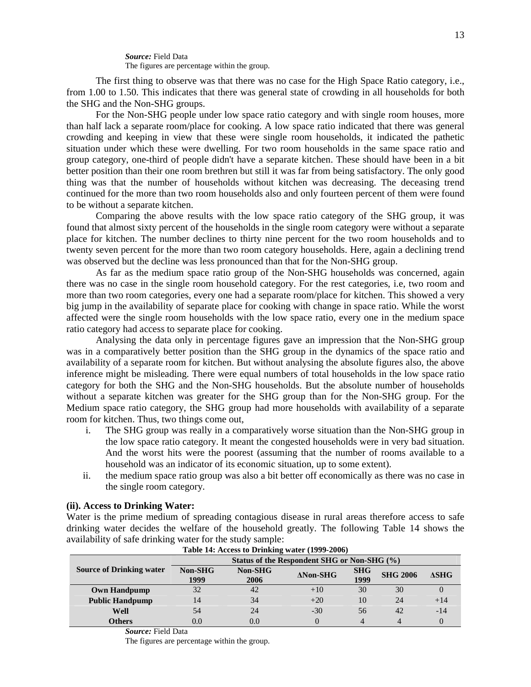*Source:* Field Data The figures are percentage within the group.

 The first thing to observe was that there was no case for the High Space Ratio category, i.e., from 1.00 to 1.50. This indicates that there was general state of crowding in all households for both the SHG and the Non-SHG groups.

 For the Non-SHG people under low space ratio category and with single room houses, more than half lack a separate room/place for cooking. A low space ratio indicated that there was general crowding and keeping in view that these were single room households, it indicated the pathetic situation under which these were dwelling. For two room households in the same space ratio and group category, one-third of people didn't have a separate kitchen. These should have been in a bit better position than their one room brethren but still it was far from being satisfactory. The only good thing was that the number of households without kitchen was decreasing. The deceasing trend continued for the more than two room households also and only fourteen percent of them were found to be without a separate kitchen.

 Comparing the above results with the low space ratio category of the SHG group, it was found that almost sixty percent of the households in the single room category were without a separate place for kitchen. The number declines to thirty nine percent for the two room households and to twenty seven percent for the more than two room category households. Here, again a declining trend was observed but the decline was less pronounced than that for the Non-SHG group.

 As far as the medium space ratio group of the Non-SHG households was concerned, again there was no case in the single room household category. For the rest categories, i.e, two room and more than two room categories, every one had a separate room/place for kitchen. This showed a very big jump in the availability of separate place for cooking with change in space ratio. While the worst affected were the single room households with the low space ratio, every one in the medium space ratio category had access to separate place for cooking.

 Analysing the data only in percentage figures gave an impression that the Non-SHG group was in a comparatively better position than the SHG group in the dynamics of the space ratio and availability of a separate room for kitchen. But without analysing the absolute figures also, the above inference might be misleading. There were equal numbers of total households in the low space ratio category for both the SHG and the Non-SHG households. But the absolute number of households without a separate kitchen was greater for the SHG group than for the Non-SHG group. For the Medium space ratio category, the SHG group had more households with availability of a separate room for kitchen. Thus, two things come out,

- i. The SHG group was really in a comparatively worse situation than the Non-SHG group in the low space ratio category. It meant the congested households were in very bad situation. And the worst hits were the poorest (assuming that the number of rooms available to a household was an indicator of its economic situation, up to some extent).
- ii. the medium space ratio group was also a bit better off economically as there was no case in the single room category.

### **(ii). Access to Drinking Water:**

Water is the prime medium of spreading contagious disease in rural areas therefore access to safe drinking water decides the welfare of the household greatly. The following Table 14 shows the availability of safe drinking water for the study sample:

|                                 | Status of the Respondent SHG or Non-SHG (%) |                        |                  |                    |                 |              |  |
|---------------------------------|---------------------------------------------|------------------------|------------------|--------------------|-----------------|--------------|--|
| <b>Source of Drinking water</b> | <b>Non-SHG</b><br>1999                      | <b>Non-SHG</b><br>2006 | $\Delta$ Non-SHG | <b>SHG</b><br>1999 | <b>SHG 2006</b> | $\Delta SHG$ |  |
| <b>Own Handpump</b>             | 32                                          | 42                     | $+10$            | 30                 | 30              |              |  |
| <b>Public Handpump</b>          | 14                                          | 34                     | $+20$            | 10                 | 24              | $+14$        |  |
| Well                            | 54                                          | 24                     | $-30$            | 56                 | 42              | $-14$        |  |
| <b>Others</b>                   | $0.0\,$                                     | 0.0                    |                  | 4                  |                 |              |  |

#### **Table 14: Access to Drinking water (1999-2006)**

 *Source:* Field Data

The figures are percentage within the group.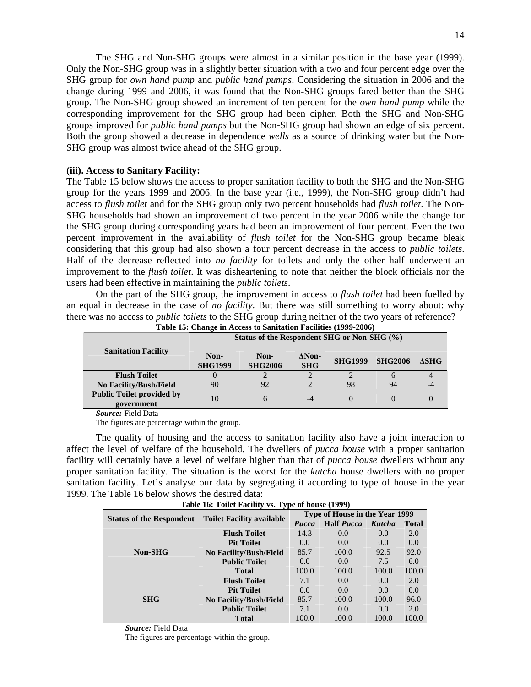The SHG and Non-SHG groups were almost in a similar position in the base year (1999). Only the Non-SHG group was in a slightly better situation with a two and four percent edge over the SHG group for *own hand pump* and *public hand pumps*. Considering the situation in 2006 and the change during 1999 and 2006, it was found that the Non-SHG groups fared better than the SHG group. The Non-SHG group showed an increment of ten percent for the *own hand pump* while the corresponding improvement for the SHG group had been cipher. Both the SHG and Non-SHG groups improved for *public hand pumps* but the Non-SHG group had shown an edge of six percent. Both the group showed a decrease in dependence *wells* as a source of drinking water but the Non-SHG group was almost twice ahead of the SHG group.

### **(iii). Access to Sanitary Facility:**

The Table 15 below shows the access to proper sanitation facility to both the SHG and the Non-SHG group for the years 1999 and 2006. In the base year (i.e., 1999), the Non-SHG group didn't had access to *flush toilet* and for the SHG group only two percent households had *flush toilet*. The Non-SHG households had shown an improvement of two percent in the year 2006 while the change for the SHG group during corresponding years had been an improvement of four percent. Even the two percent improvement in the availability of *flush toilet* for the Non-SHG group became bleak considering that this group had also shown a four percent decrease in the access to *public toilets*. Half of the decrease reflected into *no facility* for toilets and only the other half underwent an improvement to the *flush toilet*. It was disheartening to note that neither the block officials nor the users had been effective in maintaining the *public toilets*.

 On the part of the SHG group, the improvement in access to *flush toilet* had been fuelled by an equal in decrease in the case of *no facility*. But there was still something to worry about: why there was no access to *public toilets* to the SHG group during neither of the two years of reference? **Table 15: Change in Access to Sanitation Facilities (1999-2006)** 

| Table 15: Change in Access to Sanitation Facilities (1999-2000) |                                             |                        |                             |                |                |             |  |
|-----------------------------------------------------------------|---------------------------------------------|------------------------|-----------------------------|----------------|----------------|-------------|--|
|                                                                 | Status of the Respondent SHG or Non-SHG (%) |                        |                             |                |                |             |  |
| <b>Sanitation Facility</b>                                      | Non-<br><b>SHG1999</b>                      | Non-<br><b>SHG2006</b> | $\Delta$ Non-<br><b>SHG</b> | <b>SHG1999</b> | <b>SHG2006</b> | <b>ASHG</b> |  |
| <b>Flush Toilet</b>                                             |                                             |                        |                             |                | <sub>(</sub> h | 4           |  |
| <b>No Facility/Bush/Field</b>                                   | 90                                          | 92                     |                             | 98             | 94             | $-4$        |  |
| <b>Public Toilet provided by</b><br>government                  | 10                                          | 6                      | $-4$                        |                |                | $\theta$    |  |

 *Source:* Field Data

The figures are percentage within the group.

 The quality of housing and the access to sanitation facility also have a joint interaction to affect the level of welfare of the household. The dwellers of *pucca house* with a proper sanitation facility will certainly have a level of welfare higher than that of *pucca house* dwellers without any proper sanitation facility. The situation is the worst for the *kutcha* house dwellers with no proper sanitation facility. Let's analyse our data by segregating it according to type of house in the year 1999. The Table 16 below shows the desired data:

| Table 16: Toilet Facility vs. Type of house (1999) |                                  |                                |                          |        |              |  |  |
|----------------------------------------------------|----------------------------------|--------------------------------|--------------------------|--------|--------------|--|--|
|                                                    | <b>Toilet Facility available</b> | Type of House in the Year 1999 |                          |        |              |  |  |
| <b>Status of the Respondent</b>                    |                                  | Pucca                          | <b>Half</b> <i>Pucca</i> | Kutcha | <b>Total</b> |  |  |
|                                                    | <b>Flush Toilet</b>              | 14.3                           | 0.0                      | 0.0    | 2.0          |  |  |
|                                                    | <b>Pit Toilet</b>                | 0.0                            | 0.0                      | 0.0    | 0.0          |  |  |
| Non-SHG                                            | No Facility/Bush/Field           | 85.7                           | 100.0                    | 92.5   | 92.0         |  |  |
|                                                    | <b>Public Toilet</b>             | 0.0                            | 0.0                      | 7.5    | 6.0          |  |  |
|                                                    | <b>Total</b>                     | 100.0                          | 100.0                    | 100.0  | 100.0        |  |  |
|                                                    | <b>Flush Toilet</b>              | 7.1                            | 0.0                      | 0.0    | 2.0          |  |  |
|                                                    | <b>Pit Toilet</b>                | 0.0                            | 0.0                      | 0.0    | 0.0          |  |  |
| <b>SHG</b>                                         | No Facility/Bush/Field           | 85.7                           | 100.0                    | 100.0  | 96.0         |  |  |
|                                                    | <b>Public Toilet</b>             | 7.1                            | 0.0                      | 0.0    | 2.0          |  |  |
|                                                    | <b>Total</b>                     | 100.0                          | 100.0                    | 100.0  | 100.0        |  |  |

 *Source:* Field Data

The figures are percentage within the group.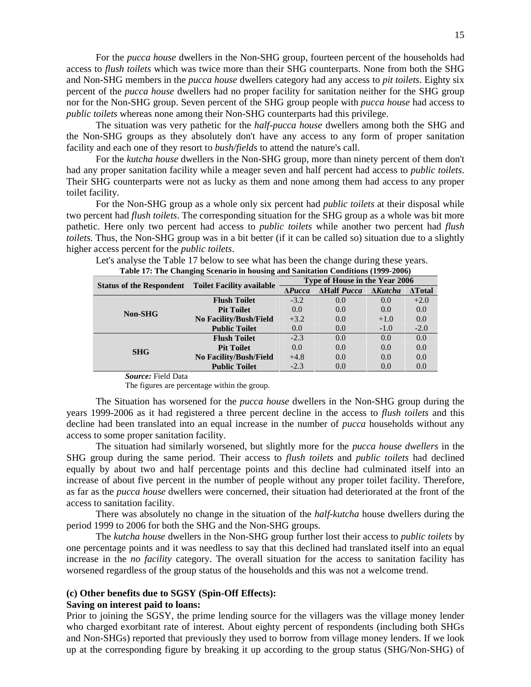For the *pucca house* dwellers in the Non-SHG group, fourteen percent of the households had access to *flush toilets* which was twice more than their SHG counterparts. None from both the SHG and Non-SHG members in the *pucca house* dwellers category had any access to *pit toilets*. Eighty six percent of the *pucca house* dwellers had no proper facility for sanitation neither for the SHG group nor for the Non-SHG group. Seven percent of the SHG group people with *pucca house* had access to *public toilets* whereas none among their Non-SHG counterparts had this privilege.

 The situation was very pathetic for the *half-pucca house* dwellers among both the SHG and the Non-SHG groups as they absolutely don't have any access to any form of proper sanitation facility and each one of they resort to *bush/fields* to attend the nature's call.

 For the *kutcha house* dwellers in the Non-SHG group, more than ninety percent of them don't had any proper sanitation facility while a meager seven and half percent had access to *public toilets*. Their SHG counterparts were not as lucky as them and none among them had access to any proper toilet facility.

 For the Non-SHG group as a whole only six percent had *public toilets* at their disposal while two percent had *flush toilets*. The corresponding situation for the SHG group as a whole was bit more pathetic. Here only two percent had access to *public toilets* while another two percent had *flush toilets*. Thus, the Non-SHG group was in a bit better (if it can be called so) situation due to a slightly higher access percent for the *public toilets*.

 Let's analyse the Table 17 below to see what has been the change during these years. **Table 17: The Changing Scenario in housing and Sanitation Conditions (1999-2006)** 

| <b>Status of the Respondent</b> |                                  | Type of House in the Year 2006 |                    |                 |                |  |  |
|---------------------------------|----------------------------------|--------------------------------|--------------------|-----------------|----------------|--|--|
|                                 | <b>Toilet Facility available</b> | $\Lambda$ <i>Pucca</i>         | <b>AHalf Pucca</b> | $\Delta$ Kutcha | $\Delta$ Total |  |  |
|                                 | <b>Flush Toilet</b>              | $-3.2$                         | 0.0                | 0.0             | $+2.0$         |  |  |
| <b>Non-SHG</b>                  | <b>Pit Toilet</b>                | 0.0                            | 0.0                | 0.0             | 0.0            |  |  |
|                                 | No Facility/Bush/Field           | $+3.2$                         | 0.0                | $+1.0$          | 0.0            |  |  |
|                                 | <b>Public Toilet</b>             | 0.0                            | 0.0                | $-1.0$          | $-2.0$         |  |  |
|                                 | <b>Flush Toilet</b>              | $-2.3$                         | 0.0                | 0.0             | 0.0            |  |  |
| <b>SHG</b>                      | <b>Pit Toilet</b>                | 0.0                            | 0.0                | 0.0             | 0.0            |  |  |
|                                 | <b>No Facility/Bush/Field</b>    | $+4.8$                         | 0.0                | 0.0             | 0.0            |  |  |
|                                 | <b>Public Toilet</b>             | $-2.3$                         | 0.0                | 0.0             | 0.0            |  |  |

 *Source:* Field Data

The figures are percentage within the group.

The Situation has worsened for the *pucca house* dwellers in the Non-SHG group during the years 1999-2006 as it had registered a three percent decline in the access to *flush toilets* and this decline had been translated into an equal increase in the number of *pucca* households without any access to some proper sanitation facility.

 The situation had similarly worsened, but slightly more for the *pucca house dwellers* in the SHG group during the same period. Their access to *flush toilets* and *public toilets* had declined equally by about two and half percentage points and this decline had culminated itself into an increase of about five percent in the number of people without any proper toilet facility. Therefore, as far as the *pucca house* dwellers were concerned, their situation had deteriorated at the front of the access to sanitation facility.

 There was absolutely no change in the situation of the *half-kutcha* house dwellers during the period 1999 to 2006 for both the SHG and the Non-SHG groups.

 The *kutcha house* dwellers in the Non-SHG group further lost their access to *public toilets* by one percentage points and it was needless to say that this declined had translated itself into an equal increase in the *no facility* category. The overall situation for the access to sanitation facility has worsened regardless of the group status of the households and this was not a welcome trend.

### **(c) Other benefits due to SGSY (Spin-Off Effects):**

### **Saving on interest paid to loans:**

Prior to joining the SGSY, the prime lending source for the villagers was the village money lender who charged exorbitant rate of interest. About eighty percent of respondents (including both SHGs and Non-SHGs) reported that previously they used to borrow from village money lenders. If we look up at the corresponding figure by breaking it up according to the group status (SHG/Non-SHG) of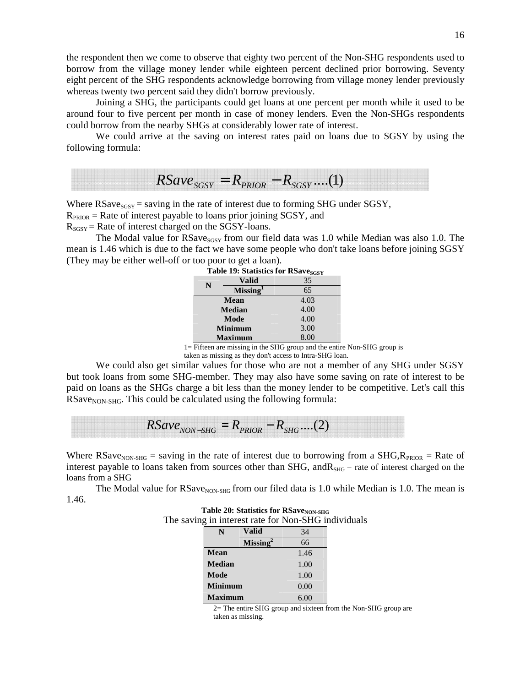the respondent then we come to observe that eighty two percent of the Non-SHG respondents used to borrow from the village money lender while eighteen percent declined prior borrowing. Seventy eight percent of the SHG respondents acknowledge borrowing from village money lender previously whereas twenty two percent said they didn't borrow previously.

 Joining a SHG, the participants could get loans at one percent per month while it used to be around four to five percent per month in case of money lenders. Even the Non-SHGs respondents could borrow from the nearby SHGs at considerably lower rate of interest.

We could arrive at the saving on interest rates paid on loans due to SGSY by using the following formula:

 $RSave_{SGSY} = R_{PRIOR} - R_{SGSY}$  ....(1)

Where  $RSave<sub>SGSY</sub> = saving in the rate of interest due to forming SHG under SGSY,$ 

 $R_{PROR}$  = Rate of interest payable to loans prior joining SGSY, and

 $R_{SGSY}$  = Rate of interest charged on the SGSY-loans.

The Modal value for  $RSave_{SGN}$  from our field data was 1.0 while Median was also 1.0. The mean is 1.46 which is due to the fact we have some people who don't take loans before joining SGSY (They may be either well-off or too poor to get a loan).

|                | Table 19: Statistics for RSave <sub>SGSY</sub> |      |  |  |  |
|----------------|------------------------------------------------|------|--|--|--|
| N              | Valid                                          | 35   |  |  |  |
|                | <b>Missing</b>                                 | 65   |  |  |  |
| <b>Mean</b>    |                                                | 4.03 |  |  |  |
|                | <b>Median</b>                                  | 4.00 |  |  |  |
|                | Mode                                           | 4.00 |  |  |  |
|                | <b>Minimum</b>                                 | 3.00 |  |  |  |
| <b>Maximum</b> |                                                | 8.00 |  |  |  |

 1= Fifteen are missing in the SHG group and the entire Non-SHG group is taken as missing as they don't access to Intra-SHG loan.

 We could also get similar values for those who are not a member of any SHG under SGSY but took loans from some SHG-member. They may also have some saving on rate of interest to be paid on loans as the SHGs charge a bit less than the money lender to be competitive. Let's call this  $RSave<sub>NON-SHG</sub>$ . This could be calculated using the following formula:

 $RSave<sub>NON-SHG</sub> = R<sub>PRIOR</sub> - R<sub>SHG</sub>....(2)$ 

Where  $RSave<sub>NON-SHG</sub> = saving in the rate of interest due to borrowing from a SHG,  $R_{PRIOR} = Rate$  of$ interest payable to loans taken from sources other than  $SHG$ , and  $R_{SHG}$  = rate of interest charged on the loans from a SHG

The Modal value for  $RSa$  ve<sub>NON-SHG</sub> from our filed data is 1.0 while Median is 1.0. The mean is 1.46.

|  | Table 20: Statistics for RSave <sub>NON-SHG</sub>   |  |
|--|-----------------------------------------------------|--|
|  | The saving in interest rate for Non-SHG individuals |  |

| N              | Valid          | 34   |
|----------------|----------------|------|
|                | <b>Missing</b> | 66   |
| Mean           |                | 1.46 |
| <b>Median</b>  |                | 1.00 |
| Mode           |                | 1.00 |
| <b>Minimum</b> |                | 0.00 |
| <b>Maximum</b> |                | 6.00 |

2= The entire SHG group and sixteen from the Non-SHG group are taken as missing.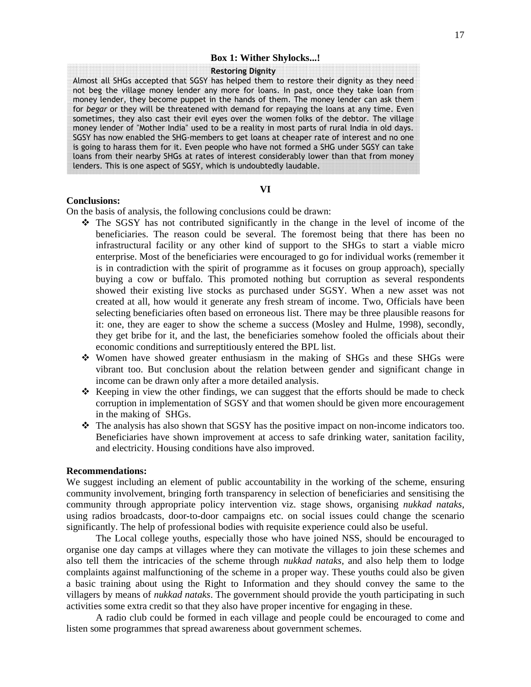#### **Box 1: Wither Shylocks...!**

#### Restoring Dignity

Almost all SHGs accepted that SGSY has helped them to restore their dignity as they need not beg the village money lender any more for loans. In past, once they take loan from money lender, they become puppet in the hands of them. The money lender can ask them for begar or they will be threatened with demand for repaying the loans at any time. Even sometimes, they also cast their evil eyes over the women folks of the debtor. The village money lender of "Mother India" used to be a reality in most parts of rural India in old days. SGSY has now enabled the SHG-members to get loans at cheaper rate of interest and no one is going to harass them for it. Even people who have not formed a SHG under SGSY can take loans from their nearby SHGs at rates of interest considerably lower than that from money lenders. This is one aspect of SGSY, which is undoubtedly laudable.

### **VI**

### **Conclusions:**

On the basis of analysis, the following conclusions could be drawn:

- $\hat{\cdot}$  The SGSY has not contributed significantly in the change in the level of income of the beneficiaries. The reason could be several. The foremost being that there has been no infrastructural facility or any other kind of support to the SHGs to start a viable micro enterprise. Most of the beneficiaries were encouraged to go for individual works (remember it is in contradiction with the spirit of programme as it focuses on group approach), specially buying a cow or buffalo. This promoted nothing but corruption as several respondents showed their existing live stocks as purchased under SGSY. When a new asset was not created at all, how would it generate any fresh stream of income. Two, Officials have been selecting beneficiaries often based on erroneous list. There may be three plausible reasons for it: one, they are eager to show the scheme a success (Mosley and Hulme, 1998), secondly, they get bribe for it, and the last, the beneficiaries somehow fooled the officials about their economic conditions and surreptitiously entered the BPL list.
- Women have showed greater enthusiasm in the making of SHGs and these SHGs were vibrant too. But conclusion about the relation between gender and significant change in income can be drawn only after a more detailed analysis.
- $\mathbf{\hat{P}}$  Keeping in view the other findings, we can suggest that the efforts should be made to check corruption in implementation of SGSY and that women should be given more encouragement in the making of SHGs.
- $\cdot \cdot$  The analysis has also shown that SGSY has the positive impact on non-income indicators too. Beneficiaries have shown improvement at access to safe drinking water, sanitation facility, and electricity. Housing conditions have also improved.

#### **Recommendations:**

We suggest including an element of public accountability in the working of the scheme, ensuring community involvement, bringing forth transparency in selection of beneficiaries and sensitising the community through appropriate policy intervention viz. stage shows, organising *nukkad nataks*, using radios broadcasts, door-to-door campaigns etc. on social issues could change the scenario significantly. The help of professional bodies with requisite experience could also be useful.

 The Local college youths, especially those who have joined NSS, should be encouraged to organise one day camps at villages where they can motivate the villages to join these schemes and also tell them the intricacies of the scheme through *nukkad nataks,* and also help them to lodge complaints against malfunctioning of the scheme in a proper way. These youths could also be given a basic training about using the Right to Information and they should convey the same to the villagers by means of *nukkad nataks*. The government should provide the youth participating in such activities some extra credit so that they also have proper incentive for engaging in these.

 A radio club could be formed in each village and people could be encouraged to come and listen some programmes that spread awareness about government schemes.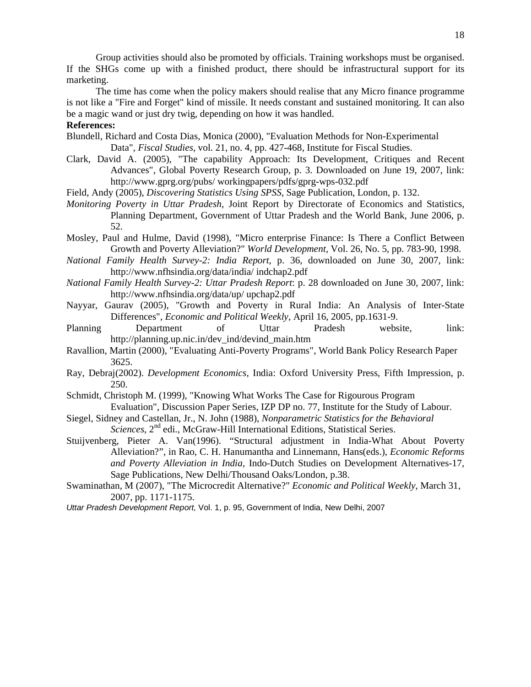Group activities should also be promoted by officials. Training workshops must be organised. If the SHGs come up with a finished product, there should be infrastructural support for its marketing.

 The time has come when the policy makers should realise that any Micro finance programme is not like a "Fire and Forget" kind of missile. It needs constant and sustained monitoring. It can also be a magic wand or just dry twig, depending on how it was handled.

### **References:**

- Blundell, Richard and Costa Dias, Monica (2000), "Evaluation Methods for Non-Experimental Data", *Fiscal Studies*, vol. 21, no. 4, pp. 427-468, Institute for Fiscal Studies.
- Clark, David A. (2005), "The capability Approach: Its Development, Critiques and Recent Advances", Global Poverty Research Group, p. 3. Downloaded on June 19, 2007, link: http://www.gprg.org/pubs/ workingpapers/pdfs/gprg-wps-032.pdf
- Field, Andy (2005), *Discovering Statistics Using SPSS,* Sage Publication, London, p. 132.
- *Monitoring Poverty in Uttar Pradesh*, Joint Report by Directorate of Economics and Statistics, Planning Department, Government of Uttar Pradesh and the World Bank, June 2006, p. 52.
- Mosley, Paul and Hulme, David (1998), "Micro enterprise Finance: Is There a Conflict Between Growth and Poverty Alleviation?" *World Development,* Vol. 26, No. 5, pp. 783-90, 1998.
- *National Family Health Survey-2: India Report*, p. 36, downloaded on June 30, 2007, link: http://www.nfhsindia.org/data/india/ indchap2.pdf
- *National Family Health Survey-2: Uttar Pradesh Report*: p. 28 downloaded on June 30, 2007, link: http://www.nfhsindia.org/data/up/ upchap2.pdf
- Nayyar, Gaurav (2005), "Growth and Poverty in Rural India: An Analysis of Inter-State Differences", *Economic and Political Weekly*, April 16, 2005, pp.1631-9.
- Planning Department of Uttar Pradesh website, link: http://planning.up.nic.in/dev\_ind/devind\_main.htm
- Ravallion, Martin (2000), "Evaluating Anti-Poverty Programs", World Bank Policy Research Paper 3625.
- Ray, Debraj(2002). *Development Economics*, India: Oxford University Press, Fifth Impression, p. 250.
- Schmidt, Christoph M. (1999), "Knowing What Works The Case for Rigourous Program Evaluation", Discussion Paper Series, IZP DP no. 77, Institute for the Study of Labour.
- Siegel, Sidney and Castellan, Jr., N. John (1988), *Nonparametric Statistics for the Behavioral Sciences*, 2<sup>nd</sup> edi., McGraw-Hill International Editions, Statistical Series.
- Stuijvenberg, Pieter A. Van(1996). "Structural adjustment in India-What About Poverty Alleviation?", in Rao, C. H. Hanumantha and Linnemann, Hans(eds.), *Economic Reforms and Poverty Alleviation in India,* Indo-Dutch Studies on Development Alternatives-17, Sage Publications, New Delhi/Thousand Oaks/London, p.38.
- Swaminathan, M (2007), "The Microcredit Alternative?" *Economic and Political Weekly*, March 31, 2007, pp. 1171-1175.
- Uttar Pradesh Development Report, Vol. 1, p. 95, Government of India, New Delhi, 2007